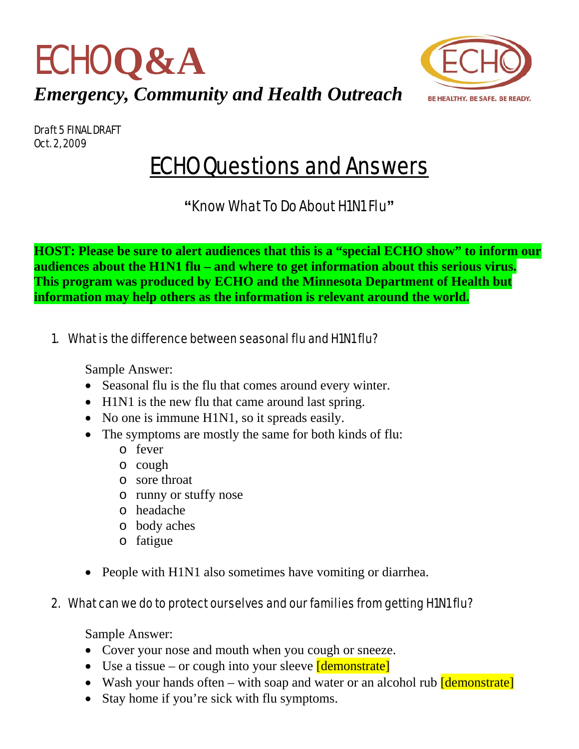



Draft 5 FINAL DRAFT Oct. 2, 2009

# ECHO Questions and Answers

**"**Know What To Do About H1N1 Flu**"** 

**HOST: Please be sure to alert audiences that this is a "special ECHO show" to inform our audiences about the H1N1 flu – and where to get information about this serious virus. This program was produced by ECHO and the Minnesota Department of Health but information may help others as the information is relevant around the world.** 

1. What is the difference between seasonal flu and H1N1 flu?

Sample Answer:

- Seasonal flu is the flu that comes around every winter.
- H1N1 is the new flu that came around last spring.
- No one is immune H1N1, so it spreads easily.
- The symptoms are mostly the same for both kinds of flu:
	- o fever
	- o cough
	- o sore throat
	- o runny or stuffy nose
	- o headache
	- o body aches
	- o fatigue
- People with H1N1 also sometimes have vomiting or diarrhea.

# 2. What can we do to protect ourselves and our families from getting H1N1 flu?

- Cover your nose and mouth when you cough or sneeze.
- Use a tissue or cough into your sleeve  $\sqrt{\text{demonstrate}}$
- Wash your hands often with soap and water or an alcohol rub *[demonstrate]*
- Stay home if you're sick with flu symptoms.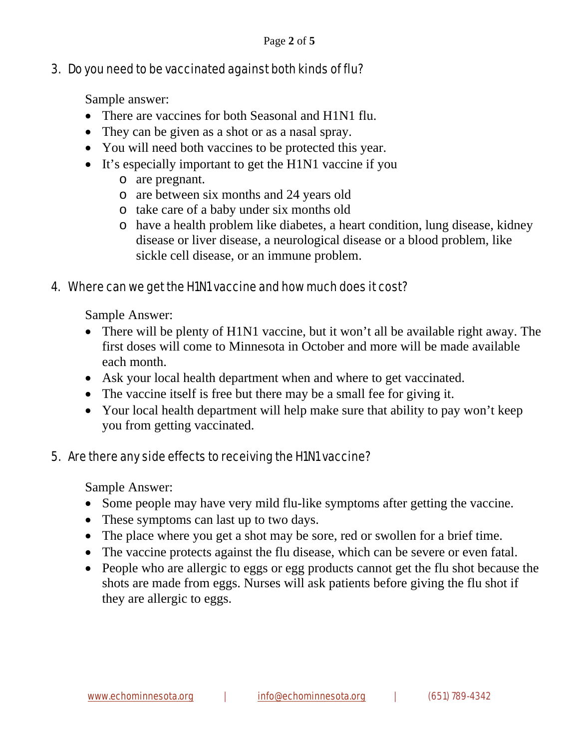## 3. Do you need to be vaccinated against both kinds of flu?

Sample answer:

- There are vaccines for both Seasonal and H1N1 flu.
- They can be given as a shot or as a nasal spray.
- You will need both vaccines to be protected this year.
- It's especially important to get the H1N1 vaccine if you
	- o are pregnant.
	- o are between six months and 24 years old
	- o take care of a baby under six months old
	- o have a health problem like diabetes, a heart condition, lung disease, kidney disease or liver disease, a neurological disease or a blood problem, like sickle cell disease, or an immune problem.

## 4. Where can we get the H1N1 vaccine and how much does it cost?

Sample Answer:

- There will be plenty of H1N1 vaccine, but it won't all be available right away. The first doses will come to Minnesota in October and more will be made available each month.
- Ask your local health department when and where to get vaccinated.
- The vaccine itself is free but there may be a small fee for giving it.
- Your local health department will help make sure that ability to pay won't keep you from getting vaccinated.

## 5. Are there any side effects to receiving the H1N1 vaccine?

- Some people may have very mild flu-like symptoms after getting the vaccine.
- These symptoms can last up to two days.
- The place where you get a shot may be sore, red or swollen for a brief time.
- The vaccine protects against the flu disease, which can be severe or even fatal.
- People who are allergic to eggs or egg products cannot get the flu shot because the shots are made from eggs. Nurses will ask patients before giving the flu shot if they are allergic to eggs.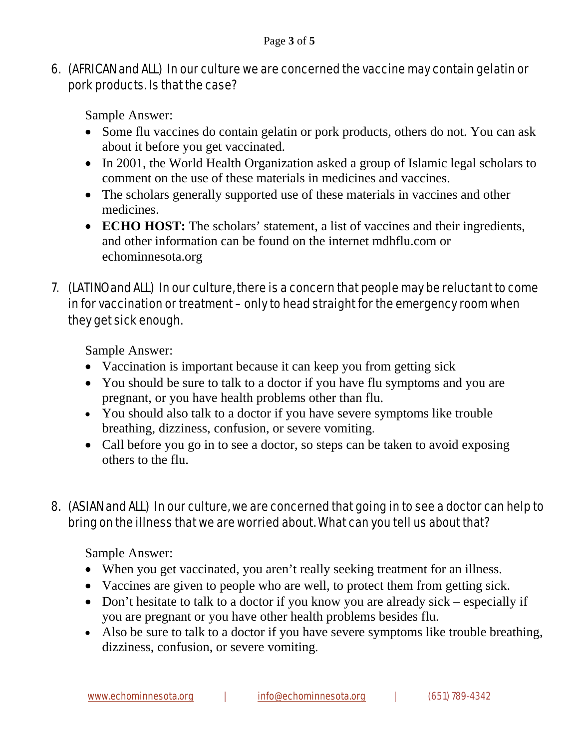## 6. (AFRICAN and ALL) In our culture we are concerned the vaccine may contain gelatin or pork products. Is that the case?

Sample Answer:

- Some flu vaccines do contain gelatin or pork products, others do not. You can ask about it before you get vaccinated.
- In 2001, the World Health Organization asked a group of Islamic legal scholars to comment on the use of these materials in medicines and vaccines.
- The scholars generally supported use of these materials in vaccines and other medicines.
- **ECHO HOST:** The scholars' statement, a list of vaccines and their ingredients, and other information can be found on the internet mdhflu.com or echominnesota.org

# 7. (LATINO and ALL) In our culture, there is a concern that people may be reluctant to come in for vaccination or treatment – only to head straight for the emergency room when they get sick enough.

Sample Answer:

- Vaccination is important because it can keep you from getting sick
- You should be sure to talk to a doctor if you have flu symptoms and you are pregnant, or you have health problems other than flu.
- You should also talk to a doctor if you have severe symptoms like trouble breathing, dizziness, confusion, or severe vomiting.
- Call before you go in to see a doctor, so steps can be taken to avoid exposing others to the flu.

# 8. (ASIAN and ALL) In our culture, we are concerned that going in to see a doctor can help to bring on the illness that we are worried about. What can you tell us about that?

- When you get vaccinated, you aren't really seeking treatment for an illness.
- Vaccines are given to people who are well, to protect them from getting sick.
- Don't hesitate to talk to a doctor if you know you are already sick especially if you are pregnant or you have other health problems besides flu.
- Also be sure to talk to a doctor if you have severe symptoms like trouble breathing, dizziness, confusion, or severe vomiting.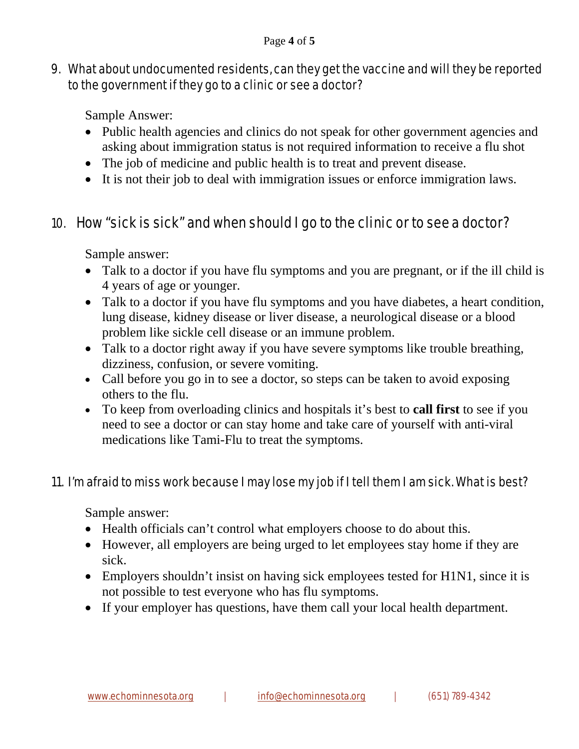#### Page **4** of **5**

## 9. What about undocumented residents, can they get the vaccine and will they be reported to the government if they go to a clinic or see a doctor?

Sample Answer:

- Public health agencies and clinics do not speak for other government agencies and asking about immigration status is not required information to receive a flu shot
- The job of medicine and public health is to treat and prevent disease.
- It is not their job to deal with immigration issues or enforce immigration laws.

# 10. How "sick is sick" and when should I go to the clinic or to see a doctor?

Sample answer:

- Talk to a doctor if you have flu symptoms and you are pregnant, or if the ill child is 4 years of age or younger.
- Talk to a doctor if you have flu symptoms and you have diabetes, a heart condition, lung disease, kidney disease or liver disease, a neurological disease or a blood problem like sickle cell disease or an immune problem.
- Talk to a doctor right away if you have severe symptoms like trouble breathing, dizziness, confusion, or severe vomiting.
- Call before you go in to see a doctor, so steps can be taken to avoid exposing others to the flu.
- To keep from overloading clinics and hospitals it's best to **call first** to see if you need to see a doctor or can stay home and take care of yourself with anti-viral medications like Tami-Flu to treat the symptoms.

## 11. I'm afraid to miss work because I may lose my job if I tell them I am sick. What is best?

- Health officials can't control what employers choose to do about this.
- However, all employers are being urged to let employees stay home if they are sick.
- Employers shouldn't insist on having sick employees tested for H1N1, since it is not possible to test everyone who has flu symptoms.
- If your employer has questions, have them call your local health department.